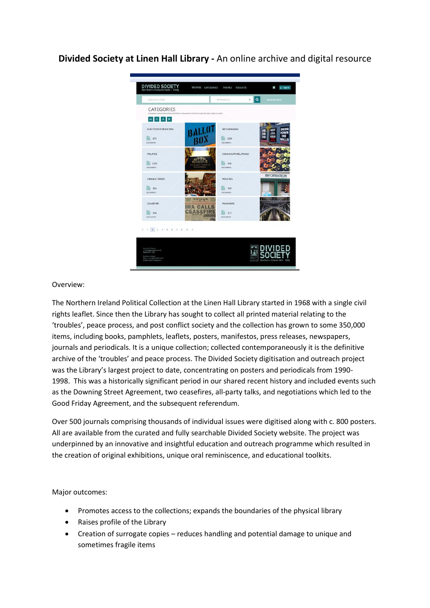**Divided Society at Linen Hall Library -** An online archive and digital resource



## Overview:

The Northern Ireland Political Collection at the Linen Hall Library started in 1968 with a single civil rights leaflet. Since then the Library has sought to collect all printed material relating to the 'troubles', peace process, and post conflict society and the collection has grown to some 350,000 items, including books, pamphlets, leaflets, posters, manifestos, press releases, newspapers, journals and periodicals. It is a unique collection; collected contemporaneously it is the definitive archive of the 'troubles' and peace process. The Divided Society digitisation and outreach project was the Library's largest project to date, concentrating on posters and periodicals from 1990- 1998. This was a historically significant period in our shared recent history and included events such as the Downing Street Agreement, two ceasefires, all-party talks, and negotiations which led to the Good Friday Agreement, and the subsequent referendum.

Over 500 journals comprising thousands of individual issues were digitised along with c. 800 posters. All are available from the curated and fully searchable Divided Society website. The project was underpinned by an innovative and insightful education and outreach programme which resulted in the creation of original exhibitions, unique oral reminiscence, and educational toolkits.

## Major outcomes:

- Promotes access to the collections; expands the boundaries of the physical library
- Raises profile of the Library
- Creation of surrogate copies reduces handling and potential damage to unique and sometimes fragile items